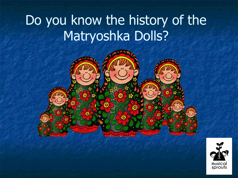# Do you know the history of the Matryoshka Dolls?



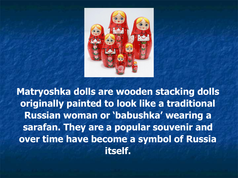

**Matryoshka dolls are wooden stacking dolls originally painted to look like a traditional Russian woman or 'babushka' wearing a sarafan. They are a popular souvenir and over time have become a symbol of Russia itself.**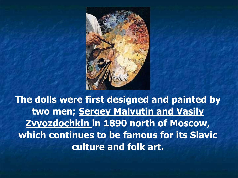

**The dolls were first designed and painted by two men; Sergey Malyutin and Vasily Zvyozdochkin in 1890 north of Moscow, which continues to be famous for its Slavic culture and folk art.**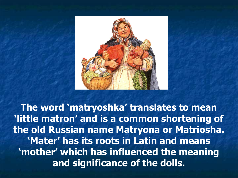

**The word 'matryoshka' translates to mean 'little matron' and is a common shortening of the old Russian name Matryona or Matriosha. 'Mater' has its roots in Latin and means 'mother' which has influenced the meaning and significance of the dolls.**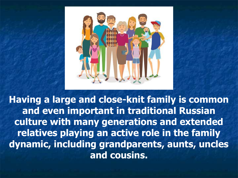

**Having a large and close-knit family is common and even important in traditional Russian culture with many generations and extended relatives playing an active role in the family dynamic, including grandparents, aunts, uncles and cousins.**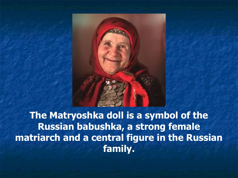

**The Matryoshka doll is a symbol of the Russian babushka, a strong female matriarch and a central figure in the Russian family.**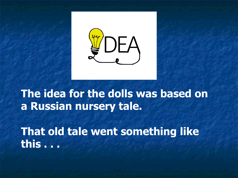

#### **The idea for the dolls was based on a Russian nursery tale.**

**That old tale went something like this . . .**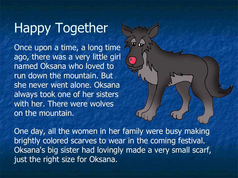Once upon a time, a long time ago, there was a very little girl named Oksana who loved to run down the mountain. But she never went alone. Oksana always took one of her sisters with her. There were wolves on the mountain.

One day, all the women in her family were busy making brightly colored scarves to wear in the coming festival. Oksana's big sister had lovingly made a very small scarf, just the right size for Oksana.

 $\overline{\mathbf{G}}$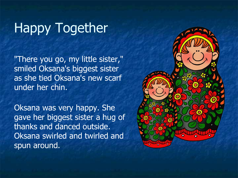"There you go, my little sister," smiled Oksana's biggest sister as she tied Oksana's new scarf under her chin.

Oksana was very happy. She gave her biggest sister a hug of thanks and danced outside. Oksana swirled and twirled and spun around.

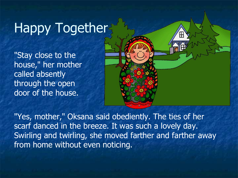"Stay close to the house," her mother called absently through the open door of the house.



"Yes, mother," Oksana said obediently. The ties of her scarf danced in the breeze. It was such a lovely day. Swirling and twirling, she moved farther and farther away from home without even noticing.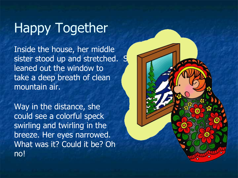Inside the house, her middle sister stood up and stretched. She leaned out the window to take a deep breath of clean mountain air.

Way in the distance, she could see a colorful speck swirling and twirling in the breeze. Her eyes narrowed. What was it? Could it be? Oh no!

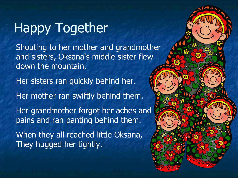Shouting to her mother and grandmother and sisters, Oksana's middle sister flew down the mountain.

Her sisters ran quickly behind her.

Her mother ran swiftly behind them.

Her grandmother forgot her aches and pains and ran panting behind them.

When they all reached little Oksana, They hugged her tightly.